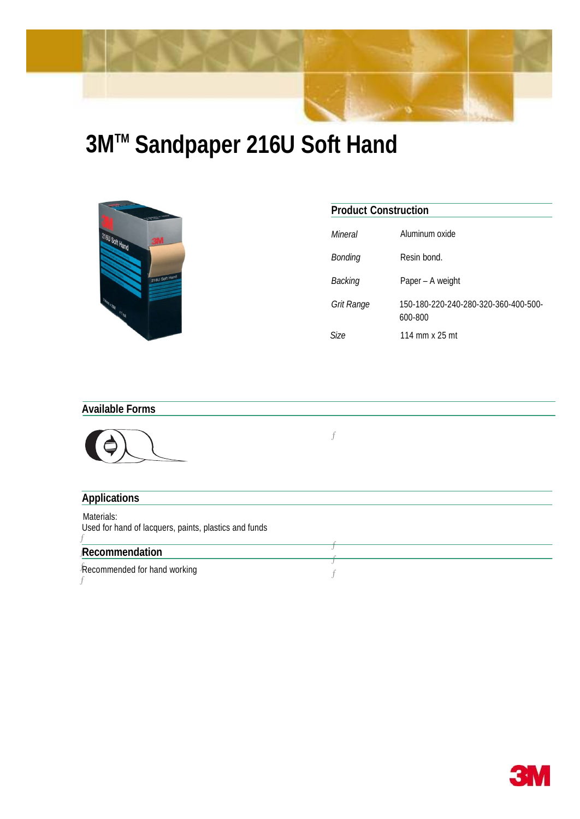

**3MTM Sandpaper 216U Soft Hand**



| Mineral    | Aluminum oxide                                  |
|------------|-------------------------------------------------|
| Bonding    | Resin bond.                                     |
| Backing    | Paper - A weight                                |
| Grit Range | 150-180-220-240-280-320-360-400-500-<br>600-800 |
| 3ize       | 114 mm x 25 mt                                  |

**Product Construction**

## **Available Forms**



## $\boldsymbol{f}$

| <b>Applications</b>                                                 |  |  |
|---------------------------------------------------------------------|--|--|
| Materials:<br>Used for hand of lacquers, paints, plastics and funds |  |  |
| Recommendation                                                      |  |  |
| Recommended for hand working                                        |  |  |